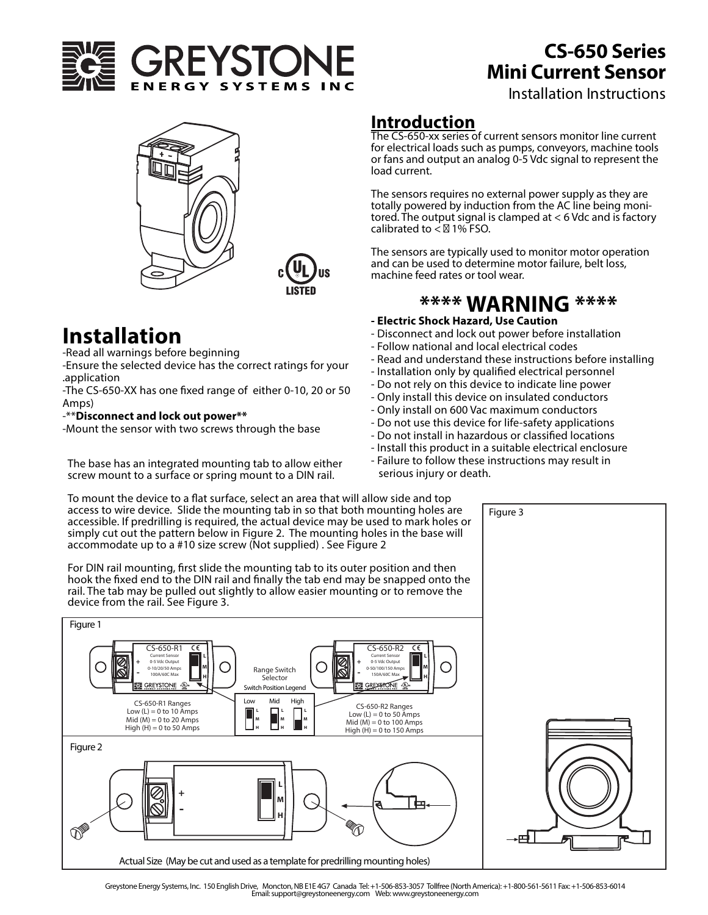



## **Installation**

-Read all warnings before beginning

-Ensure the selected device has the correct ratings for your .application

-The CS-650-XX has one fixed range of either 0-10, 20 or 50 Amps)

### -\*\***Disconnect and lock out power\*\***

-Mount the sensor with two screws through the base

The base has an integrated mounting tab to allow either screw mount to a surface or spring mount to a DIN rail.

## **Introduction**

The CS-650-xx series of current sensors monitor line current for electrical loads such as pumps, conveyors, machine tools or fans and output an analog 0-5 Vdc signal to represent the load current.

Installation Instructions

**Mini Current Sensor**

**CS-650 Series**

The sensors requires no external power supply as they are totally powered by induction from the AC line being monitored. The output signal is clamped at  $<$  6 Vdc and is factory calibrated to  $\lt$  1% FSO.

The sensors are typically used to monitor motor operation and can be used to determine motor failure, belt loss, machine feed rates or tool wear.

## **\*\*\*\* WARNING \*\*\*\***

- **Electric Shock Hazard, Use Caution**
- Disconnect and lock out power before installation
- Follow national and local electrical codes
- Read and understand these instructions before installing
- Installation only by qualified electrical personnel
- Do not rely on this device to indicate line power
- Only install this device on insulated conductors
- Only install on 600 Vac maximum conductors
- Do not use this device for life-safety applications
- Do not install in hazardous or classified locations
- Install this product in a suitable electrical enclosure

Figure 3

- Failure to follow these instructions may result in serious injury or death.

To mount the device to a flat surface, select an area that will allow side and top access to wire device. Slide the mounting tab in so that both mounting holes are accessible. If predrilling is required, the actual device may be used to mark holes or simply cut out the pattern below in Figure 2. The mounting holes in the base will accommodate up to a #10 size screw (Not supplied) . See Figure 2



For DIN rail mounting, first slide the mounting tab to its outer position and then hook the fixed end to the DIN rail and finally the tab end may be snapped onto the rail. The tab may be pulled out slightly to allow easier mounting or to remove the